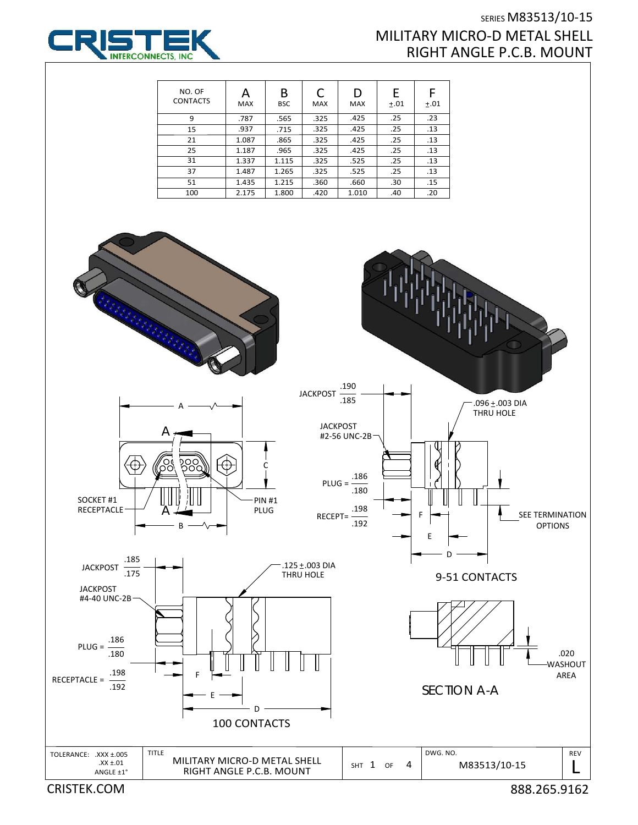

## SERIES M83513/10‐15 MILITARY MICRO‐D METAL SHELL RIGHT ANGLE P.C.B. MOUNT

| NO. OF<br><b>CONTACTS</b> | А<br><b>MAX</b> | В<br><b>BSC</b> | C<br><b>MAX</b> | D<br><b>MAX</b> | E<br>±.01 | ±.01 |
|---------------------------|-----------------|-----------------|-----------------|-----------------|-----------|------|
| 9                         | .787            | .565            | .325            | .425            | .25       | .23  |
| 15                        | .937            | .715            | .325            | .425            | .25       | .13  |
| 21                        | 1.087           | .865            | .325            | .425            | .25       | .13  |
| 25                        | 1.187           | .965            | .325            | .425            | .25       | .13  |
| 31                        | 1.337           | 1.115           | .325            | .525            | .25       | .13  |
| 37                        | 1.487           | 1.265           | .325            | .525            | .25       | .13  |
| 51                        | 1.435           | 1.215           | .360            | .660            | .30       | .15  |
| 100                       | 2.175           | 1.800           | .420            | 1.010           | .40       | .20  |



CRISTEK.COM 888.265.9162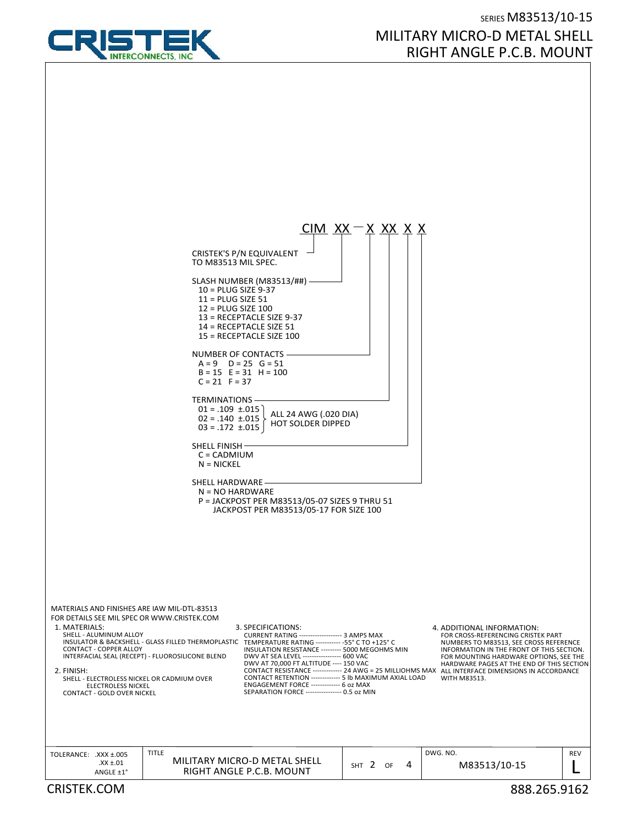

## SERIES M83513/10‐15 MILITARY MICRO‐D METAL SHELL RIGHT ANGLE P.C.B. MOUNT

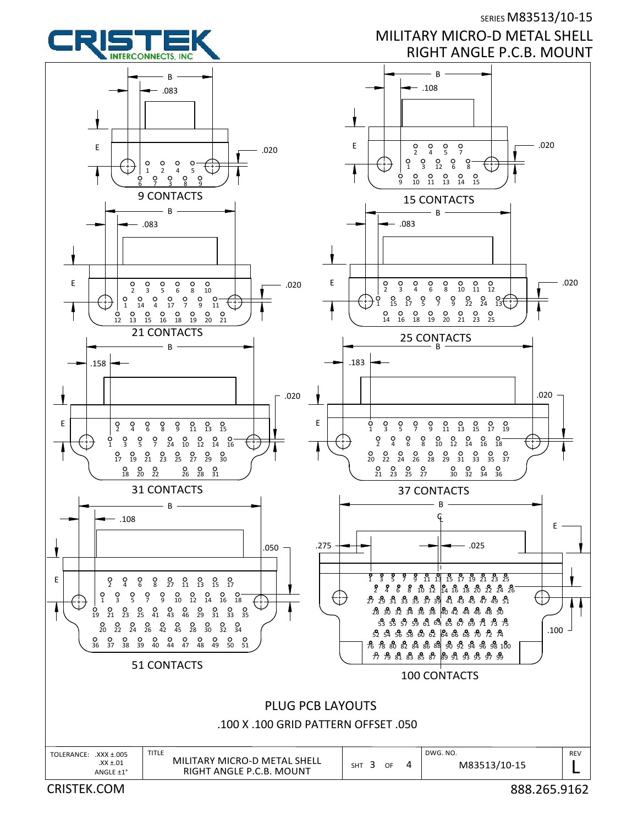

SERIES M83513/10-15